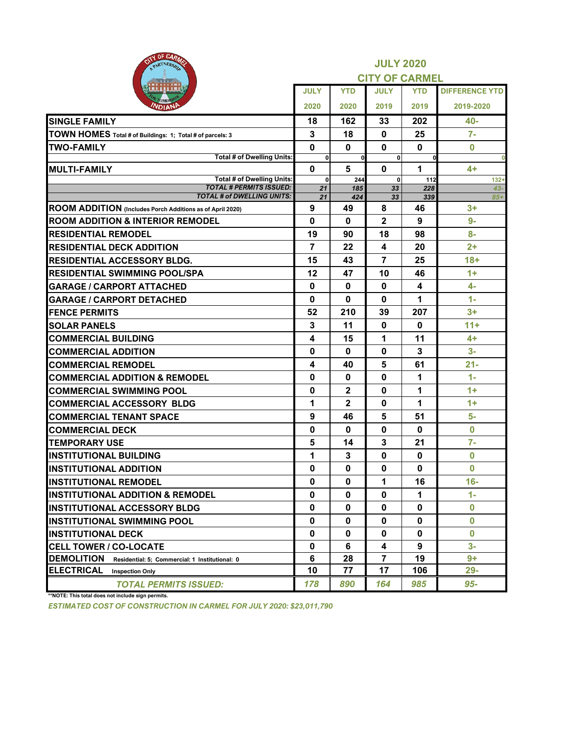| OF CARA<br>PARTNERSHIP                                              |                   | <b>JULY 2020</b><br><b>CITY OF CARMEL</b> |                         |                         |                       |  |  |  |  |
|---------------------------------------------------------------------|-------------------|-------------------------------------------|-------------------------|-------------------------|-----------------------|--|--|--|--|
|                                                                     | <b>JULY</b>       | <b>YTD</b>                                | <b>JULY</b>             | <b>YTD</b>              | <b>DIFFERENCE YTD</b> |  |  |  |  |
| אומV                                                                | 2020              | 2020                                      | 2019                    | 2019                    | 2019-2020             |  |  |  |  |
| <b>SINGLE FAMILY</b>                                                | 18                | 162                                       | 33                      | 202                     | 40-                   |  |  |  |  |
| TOWN HOMES Total # of Buildings: 1; Total # of parcels: 3           | 3                 | 18                                        | $\mathbf 0$             | 25                      | $7-$                  |  |  |  |  |
| <b>TWO-FAMILY</b>                                                   | 0                 | $\mathbf 0$                               | $\mathbf 0$             | $\mathbf 0$             | $\boldsymbol{0}$      |  |  |  |  |
| <b>Total # of Dwelling Units:</b>                                   | $\mathbf 0$       | <sub>0</sub>                              | 0                       |                         | $\bf{0}$              |  |  |  |  |
| <b>MULTI-FAMILY</b><br><b>Total # of Dwelling Units:</b>            | $\mathbf 0$       | $5\phantom{1}$                            | $\mathbf 0$             | 1                       | $4+$                  |  |  |  |  |
| <b>TOTAL # PERMITS ISSUED:</b>                                      | $\mathbf 0$<br>21 | 244<br>185                                | $\mathbf{0}$<br>33      | 112<br>228              | $132+$<br>$43 -$      |  |  |  |  |
| <b>TOTAL # of DWELLING UNITS:</b>                                   | 21                | 424                                       | 33                      | 339                     | $85+$                 |  |  |  |  |
| ROOM ADDITION (Includes Porch Additions as of April 2020)           | 9                 | 49                                        | 8                       | 46                      | $3+$                  |  |  |  |  |
| <b>ROOM ADDITION &amp; INTERIOR REMODEL</b>                         | 0                 | $\mathbf 0$                               | $\mathbf{2}$            | 9                       | $9-$                  |  |  |  |  |
| <b>RESIDENTIAL REMODEL</b>                                          | 19                | 90                                        | 18                      | 98                      | $8-$                  |  |  |  |  |
| <b>RESIDENTIAL DECK ADDITION</b>                                    | $\overline{7}$    | 22                                        | $\overline{\mathbf{4}}$ | 20                      | $2+$                  |  |  |  |  |
| <b>RESIDENTIAL ACCESSORY BLDG.</b>                                  | 15                | 43                                        | $\overline{7}$          | 25                      | $18 +$                |  |  |  |  |
| <b>RESIDENTIAL SWIMMING POOL/SPA</b>                                | 12                | 47                                        | 10                      | 46                      | $1+$                  |  |  |  |  |
| <b>GARAGE / CARPORT ATTACHED</b>                                    | 0                 | $\mathbf{0}$                              | $\bf{0}$                | $\overline{\mathbf{4}}$ | $4-$                  |  |  |  |  |
| <b>GARAGE / CARPORT DETACHED</b>                                    | 0                 | $\mathbf{0}$                              | $\bf{0}$                | 1                       | $1 -$                 |  |  |  |  |
| <b>FENCE PERMITS</b>                                                | 52                | 210                                       | 39                      | 207                     | $3+$                  |  |  |  |  |
| <b>SOLAR PANELS</b>                                                 | 3                 | 11                                        | $\mathbf 0$             | 0                       | $11 +$                |  |  |  |  |
| <b>COMMERCIAL BUILDING</b>                                          | 4                 | 15                                        | 1                       | 11                      | $4+$                  |  |  |  |  |
| <b>COMMERCIAL ADDITION</b>                                          | 0                 | $\mathbf 0$                               | 0                       | 3                       | $3-$                  |  |  |  |  |
| <b>COMMERCIAL REMODEL</b>                                           | 4                 | 40                                        | 5                       | 61                      | $21 -$                |  |  |  |  |
| <b>COMMERCIAL ADDITION &amp; REMODEL</b>                            | 0                 | $\mathbf 0$                               | $\bf{0}$                | 1                       | $1 -$                 |  |  |  |  |
| <b>COMMERCIAL SWIMMING POOL</b>                                     | 0                 | $\mathbf{2}$                              | $\bf{0}$                | 1                       | $1+$                  |  |  |  |  |
| <b>COMMERCIAL ACCESSORY BLDG</b>                                    | 1                 | $\overline{2}$                            | $\bf{0}$                | 1                       | $1+$                  |  |  |  |  |
| <b>COMMERCIAL TENANT SPACE</b>                                      | 9                 | 46                                        | 5                       | 51                      | $5-$                  |  |  |  |  |
| <b>COMMERCIAL DECK</b>                                              | $\mathbf{0}$      | $\mathbf 0$                               | $\bf{0}$                | $\bf{0}$                | $\bf{0}$              |  |  |  |  |
| <b>TEMPORARY USE</b>                                                | 5                 | 14                                        | $\mathbf{3}$            | 21                      | $7-$                  |  |  |  |  |
| <b>INSTITUTIONAL BUILDING</b>                                       | 1                 | 3                                         | $\bf{0}$                | $\bf{0}$                | $\bf{0}$              |  |  |  |  |
| <b>INSTITUTIONAL ADDITION</b>                                       | $\mathbf 0$       | $\mathbf 0$                               | $\bf{0}$                | $\bf{0}$                | $\bf{0}$              |  |  |  |  |
| <b>INSTITUTIONAL REMODEL</b>                                        | $\mathbf 0$       | $\mathbf 0$                               | 1                       | 16                      | $16-$                 |  |  |  |  |
| <b>IINSTITUTIONAL ADDITION &amp; REMODEL</b>                        | $\mathbf 0$       | $\mathbf 0$                               | $\mathbf 0$             | 1                       | $1 -$                 |  |  |  |  |
| <b>INSTITUTIONAL ACCESSORY BLDG</b>                                 | $\mathbf 0$       | $\mathbf 0$                               | $\mathbf 0$             | $\bf{0}$                | $\bf{0}$              |  |  |  |  |
| <b>IINSTITUTIONAL SWIMMING POOL</b>                                 | $\mathbf 0$       | $\mathbf 0$                               | $\mathbf 0$             | $\bf{0}$                | $\bf{0}$              |  |  |  |  |
| <b>IINSTITUTIONAL DECK</b>                                          | $\bf{0}$          | $\mathbf{0}$                              | $\bf{0}$                | $\bf{0}$                | $\bf{0}$              |  |  |  |  |
| <b>CELL TOWER / CO-LOCATE</b>                                       | $\mathbf 0$       | 6                                         | $\overline{\mathbf{4}}$ | 9                       | $3-$                  |  |  |  |  |
| <b>DEMOLITION</b><br>Residential: 5; Commercial: 1 Institutional: 0 | 6                 | 28                                        | $\overline{7}$          | 19                      | $9+$                  |  |  |  |  |
| <b>ELECTRICAL</b><br><b>Inspection Only</b>                         | 10                | 77                                        | 17                      | 106                     | $29 -$                |  |  |  |  |
| <b>TOTAL PERMITS ISSUED:</b>                                        | 178               | 890                                       | 164                     | 985                     | 95-                   |  |  |  |  |

**\*\*NOTE: This total does not include sign permits.**

*ESTIMATED COST OF CONSTRUCTION IN CARMEL FOR JULY 2020: \$23,011,790*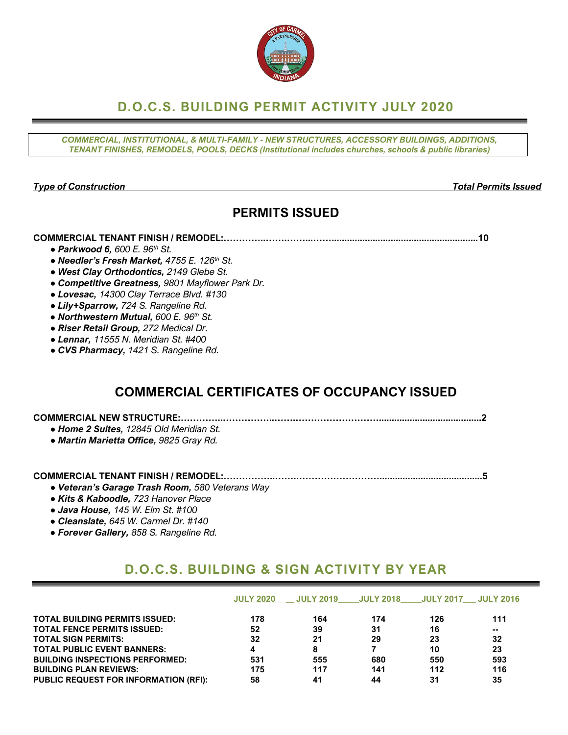

# **D.O.C.S. BUILDING PERMIT ACTIVITY JULY 2020**

*COMMERCIAL, INSTITUTIONAL, & MULTI-FAMILY - NEW STRUCTURES, ACCESSORY BUILDINGS, ADDITIONS, TENANT FINISHES, REMODELS, POOLS, DECKS (Institutional includes churches, schools & public libraries)*

#### *Type of Construction Total Permits Issued*

## **PERMITS ISSUED**

#### **COMMERCIAL TENANT FINISH / REMODEL:…………..…….……...…….........................................................10**

- *● Parkwood 6, 600 E. 96th St.*
- *● Needler's Fresh Market, 4755 E. 126th St.*
- *● West Clay Orthodontics, 2149 Glebe St.*
- *● Competitive Greatness, 9801 Mayflower Park Dr.*
- *● Lovesac, 14300 Clay Terrace Blvd. #130*
- *● Lily+Sparrow, 724 S. Rangeline Rd.*
- *● Northwestern Mutual, 600 E. 96th St.*
- *● Riser Retail Group, 272 Medical Dr.*
- *● Lennar, 11555 N. Meridian St. #400*
- *● CVS Pharmacy, 1421 S. Rangeline Rd.*

## **COMMERCIAL CERTIFICATES OF OCCUPANCY ISSUED**

### **COMMERCIAL NEW STRUCTURE:…………..……………..…….………………………........................................2**

- *● Home 2 Suites, 12845 Old Meridian St.*
- *● Martin Marietta Office, 9825 Gray Rd.*

### **COMMERCIAL TENANT FINISH / REMODEL:……………..…….………………………........................................5**

- *● Veteran's Garage Trash Room, 580 Veterans Way*
- *● Kits & Kaboodle, 723 Hanover Place*
- *● Java House, 145 W. Elm St. #100*
- *● Cleanslate, 645 W. Carmel Dr. #140*
- *● Forever Gallery, 858 S. Rangeline Rd.*

### **D.O.C.S. BUILDING & SIGN ACTIVITY BY YEAR**

|                                              | <b>JULY 2020</b> | <b>JULY 2019</b> | <b>JULY 2018</b> | <b>JULY 2017</b> | <b>JULY 2016</b> |
|----------------------------------------------|------------------|------------------|------------------|------------------|------------------|
| <b>TOTAL BUILDING PERMITS ISSUED:</b>        | 178              | 164              | 174              | 126              | 111              |
| <b>TOTAL FENCE PERMITS ISSUED:</b>           | 52               | 39               | 31               | 16               | --               |
| <b>TOTAL SIGN PERMITS:</b>                   | 32               | 21               | 29               | 23               | 32               |
| <b>TOTAL PUBLIC EVENT BANNERS:</b>           | 4                | 8                |                  | 10               | 23               |
| <b>BUILDING INSPECTIONS PERFORMED:</b>       | 531              | 555              | 680              | 550              | 593              |
| <b>BUILDING PLAN REVIEWS:</b>                | 175              | 117              | 141              | 112              | 116              |
| <b>PUBLIC REQUEST FOR INFORMATION (RFI):</b> | 58               | 41               | 44               | 31               | 35               |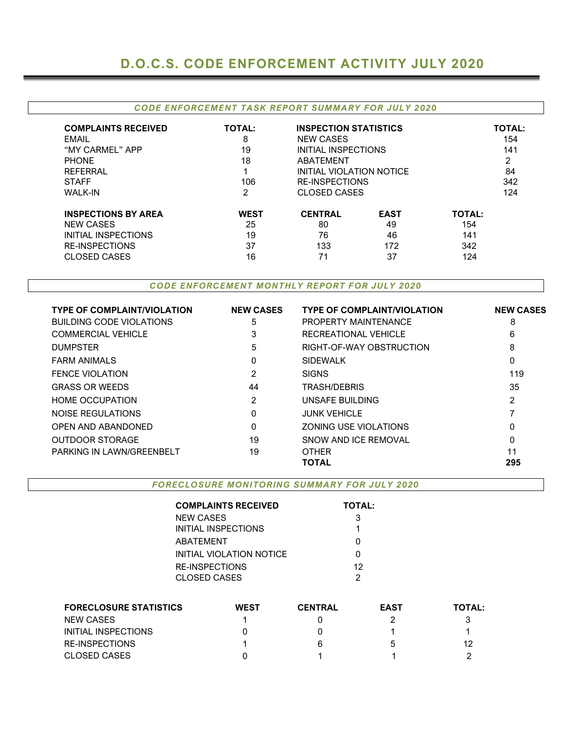# **D.O.C.S. CODE ENFORCEMENT ACTIVITY JULY 2020**

#### *CODE ENFORCEMENT TASK REPORT SUMMARY FOR JULY 2020*

| <b>COMPLAINTS RECEIVED</b><br><b>EMAIL</b><br>"MY CARMEL" APP<br><b>PHONE</b><br><b>REFERRAL</b><br><b>STAFF</b><br><b>WALK-IN</b> | <b>TOTAL:</b><br>8<br>19<br>18<br>106<br>2 | <b>INSPECTION STATISTICS</b><br><b>NEW CASES</b><br>INITIAL INSPECTIONS<br>ABATEMENT<br>INITIAL VIOLATION NOTICE<br><b>RE-INSPECTIONS</b><br><b>CLOSED CASES</b> | <b>TOTAL:</b><br>154<br>141<br>2<br>84<br>342<br>124 |               |  |
|------------------------------------------------------------------------------------------------------------------------------------|--------------------------------------------|------------------------------------------------------------------------------------------------------------------------------------------------------------------|------------------------------------------------------|---------------|--|
| <b>INSPECTIONS BY AREA</b>                                                                                                         | <b>WEST</b>                                | <b>CENTRAL</b>                                                                                                                                                   | <b>EAST</b>                                          | <b>TOTAL:</b> |  |
| <b>NEW CASES</b>                                                                                                                   | 25                                         | 80                                                                                                                                                               | 49                                                   | 154           |  |
| <b>INITIAL INSPECTIONS</b>                                                                                                         | 19                                         | 76                                                                                                                                                               | 46                                                   | 141           |  |
| <b>RE-INSPECTIONS</b>                                                                                                              | 37                                         | 133                                                                                                                                                              | 172                                                  | 342           |  |
| CLOSED CASES                                                                                                                       | 16                                         | 71                                                                                                                                                               | 37                                                   | 124           |  |

*CODE ENFORCEMENT MONTHLY REPORT FOR JULY 2020*

| <b>TYPE OF COMPLAINT/VIOLATION</b> | <b>NEW CASES</b> | <b>TYPE OF COMPLAINT/VIOLATION</b> | <b>NEW CASES</b> |
|------------------------------------|------------------|------------------------------------|------------------|
| <b>BUILDING CODE VIOLATIONS</b>    | 5                | <b>PROPERTY MAINTENANCE</b>        | 8                |
| <b>COMMERCIAL VEHICLE</b>          | 3                | RECREATIONAL VEHICLE               | 6                |
| <b>DUMPSTER</b>                    | 5                | RIGHT-OF-WAY OBSTRUCTION           | 8                |
| <b>FARM ANIMALS</b>                | 0                | <b>SIDEWALK</b>                    | 0                |
| <b>FENCE VIOLATION</b>             | 2                | <b>SIGNS</b>                       | 119              |
| <b>GRASS OR WEEDS</b>              | 44               | <b>TRASH/DEBRIS</b>                | 35               |
| <b>HOME OCCUPATION</b>             | 2                | UNSAFE BUILDING                    | 2                |
| NOISE REGULATIONS                  | 0                | <b>JUNK VEHICLE</b>                |                  |
| OPEN AND ABANDONED                 | $\Omega$         | <b>ZONING USE VIOLATIONS</b>       | 0                |
| <b>OUTDOOR STORAGE</b>             | 19               | SNOW AND ICE REMOVAL               | 0                |
| PARKING IN LAWN/GREENBELT          | 19               | <b>OTHER</b>                       | 11               |
|                                    |                  | TOTAL                              | 295              |

*FORECLOSURE MONITORING SUMMARY FOR JULY 2020*

|                               | <b>COMPLAINTS RECEIVED</b> |                | <b>TOTAL:</b> |             |               |  |
|-------------------------------|----------------------------|----------------|---------------|-------------|---------------|--|
|                               | <b>NEW CASES</b>           |                | 3             |             |               |  |
|                               | <b>INITIAL INSPECTIONS</b> |                |               |             |               |  |
|                               | ABATEMENT                  |                | 0             |             |               |  |
|                               | INITIAL VIOLATION NOTICE   |                | 0             |             |               |  |
|                               | <b>RE-INSPECTIONS</b>      |                | 12            |             |               |  |
|                               | <b>CLOSED CASES</b>        |                | 2             |             |               |  |
|                               |                            |                |               |             |               |  |
| <b>FORECLOSURE STATISTICS</b> | <b>WEST</b>                | <b>CENTRAL</b> |               | <b>EAST</b> | <b>TOTAL:</b> |  |
| <b>NEW CASES</b>              |                            |                |               | 2           | 3             |  |
| <b>INITIAL INSPECTIONS</b>    |                            |                |               |             |               |  |

RE-INSPECTIONS 1 6 5 12 CLOSED CASES 0 1 1 2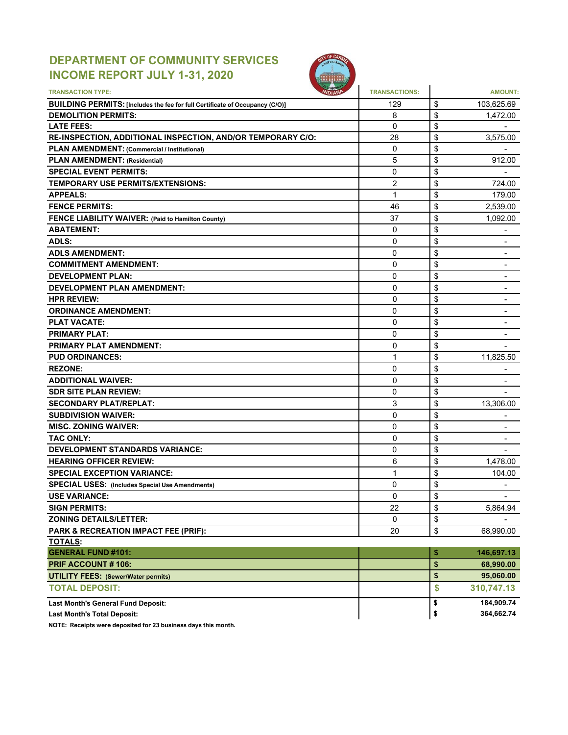### **DEPARTMENT OF COMMUNITY SERVICES INCOME REPORT JULY 1-31, 2020**



| <b>TRANSACTION TYPE:</b>                                                     | <b>TRANSACTIONS:</b> |         | <b>AMOUNT:</b>                       |
|------------------------------------------------------------------------------|----------------------|---------|--------------------------------------|
| BUILDING PERMITS: [Includes the fee for full Certificate of Occupancy (C/O)] | 129                  | \$      | 103,625.69                           |
| <b>DEMOLITION PERMITS:</b>                                                   | 8                    | \$      | 1.472.00                             |
| <b>LATE FEES:</b>                                                            | 0                    | \$      |                                      |
| RE-INSPECTION, ADDITIONAL INSPECTION, AND/OR TEMPORARY C/O:                  | 28                   | \$      | 3.575.00                             |
| PLAN AMENDMENT: (Commercial / Institutional)                                 | 0                    | \$      |                                      |
| <b>PLAN AMENDMENT: (Residential)</b>                                         | 5                    | \$      | 912.00                               |
| <b>SPECIAL EVENT PERMITS:</b>                                                | 0                    | \$      |                                      |
| TEMPORARY USE PERMITS/EXTENSIONS:                                            | $\overline{2}$       | \$      | 724.00                               |
| <b>APPEALS:</b>                                                              | 1                    | \$      | 179.00                               |
| <b>FENCE PERMITS:</b>                                                        | 46                   | \$      | 2,539.00                             |
| FENCE LIABILITY WAIVER: (Paid to Hamilton County)                            | 37                   | \$      | 1,092.00                             |
| <b>ABATEMENT:</b>                                                            | $\Omega$             | \$      |                                      |
| <b>ADLS:</b>                                                                 | $\mathbf{0}$         | \$      |                                      |
| <b>ADLS AMENDMENT:</b>                                                       | 0                    | \$      | $\qquad \qquad \blacksquare$         |
| <b>COMMITMENT AMENDMENT:</b>                                                 | $\mathbf{0}$         | \$      | ٠                                    |
| <b>DEVELOPMENT PLAN:</b>                                                     | 0                    | \$      | ٠                                    |
| <b>DEVELOPMENT PLAN AMENDMENT:</b>                                           | 0                    | \$      | -                                    |
| <b>HPR REVIEW:</b>                                                           | 0                    | \$      | $\overline{\phantom{a}}$             |
| <b>ORDINANCE AMENDMENT:</b>                                                  | 0                    | \$      | $\overline{\phantom{a}}$             |
| <b>PLAT VACATE:</b>                                                          | 0                    | \$      | $\overline{\phantom{0}}$             |
| <b>PRIMARY PLAT:</b>                                                         | 0                    | \$      | $\qquad \qquad \blacksquare$         |
| <b>PRIMARY PLAT AMENDMENT:</b>                                               | 0                    | \$      |                                      |
| <b>PUD ORDINANCES:</b>                                                       | 1                    | \$      | 11,825.50                            |
| <b>REZONE:</b>                                                               | 0                    | \$      |                                      |
| <b>ADDITIONAL WAIVER:</b>                                                    | $\mathbf{0}$         | \$      |                                      |
| <b>SDR SITE PLAN REVIEW:</b>                                                 | 0                    | \$      |                                      |
| <b>SECONDARY PLAT/REPLAT:</b>                                                | 3                    | \$      | 13,306.00                            |
| <b>SUBDIVISION WAIVER:</b>                                                   | $\overline{0}$       | \$      | ٠                                    |
| <b>MISC. ZONING WAIVER:</b>                                                  | 0                    | \$      |                                      |
| <b>TAC ONLY:</b>                                                             | 0                    | \$      |                                      |
| <b>DEVELOPMENT STANDARDS VARIANCE:</b>                                       | 0                    | \$      | $\overline{\phantom{a}}$             |
| <b>HEARING OFFICER REVIEW:</b>                                               | 6                    | \$      | $\overline{\phantom{0}}$<br>1,478.00 |
|                                                                              |                      |         |                                      |
| <b>SPECIAL EXCEPTION VARIANCE:</b>                                           | 1                    | \$      | 104.00                               |
| <b>SPECIAL USES: (Includes Special Use Amendments)</b>                       | 0                    | \$<br>ፍ | $\overline{\phantom{0}}$             |
| <b>USE VARIANCE:</b>                                                         | 0                    | Ψ       |                                      |
| <b>SIGN PERMITS:</b>                                                         | 22                   | \$      | 5,864.94                             |
| <b>ZONING DETAILS/LETTER:</b>                                                | 0                    | \$      |                                      |
| PARK & RECREATION IMPACT FEE (PRIF):                                         | 20                   | \$      | 68,990.00                            |
| <b>TOTALS:</b>                                                               |                      |         |                                      |
| <b>GENERAL FUND #101:</b>                                                    |                      | \$      | 146,697.13                           |
| PRIF ACCOUNT #106:                                                           |                      | \$      | 68,990.00                            |
| <b>UTILITY FEES: (Sewer/Water permits)</b>                                   |                      | \$      | 95,060.00                            |
| <b>TOTAL DEPOSIT:</b>                                                        |                      | \$      | 310,747.13                           |
| Last Month's General Fund Deposit:                                           |                      | \$      | 184,909.74                           |
| <b>Last Month's Total Deposit:</b>                                           |                      | \$      | 364,662.74                           |

**NOTE: Receipts were deposited for 23 business days this month.**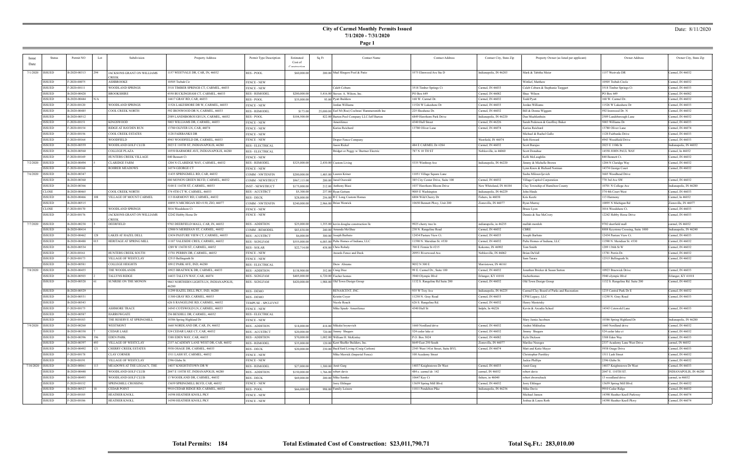**Page 1**

### Date: 8/11/2020

| <b>Issue</b> | <b>Status</b> | Permit NO    | Lot | Subdivision                | Property Address                       | Permit Type Description          | Estimated    | Sq Ft | <b>Contact Name</b>                             | <b>Contact Address</b>            | Contact City, State Zip | Property Owner (as listed per applicant)  | Owner Address                      | Owner City, State Zip  |
|--------------|---------------|--------------|-----|----------------------------|----------------------------------------|----------------------------------|--------------|-------|-------------------------------------------------|-----------------------------------|-------------------------|-------------------------------------------|------------------------------------|------------------------|
| Date         |               |              |     |                            |                                        |                                  | Cost of      |       |                                                 |                                   |                         |                                           |                                    |                        |
|              |               |              |     |                            |                                        |                                  | Constructio  |       |                                                 |                                   |                         |                                           |                                    |                        |
| 7/1/2020     | <b>ISSUED</b> | B-2020-00313 | 294 | JACKSONS GRANT ON WILLIAMS | 1157 WESTVALE DR, CAR, IN, 46032       | RES - POOL                       | \$60,000.00  |       | 200.00 Mud Slingers Pool & Patio                | 5575 Elmwood Ave Ste D            | Indianapolis, IN 46203  | Mark & Tabitha Meier                      | 1157 Westvale DR                   | Carmel, IN 46032       |
|              |               |              |     | <b>CREEK</b>               |                                        |                                  |              |       |                                                 |                                   |                         |                                           |                                    |                        |
|              | ISSUED        | F-2020-00075 |     | ASHBROOKE                  | 10505 Trebah Cir                       | <b>FENCE - NEW</b>               |              |       |                                                 |                                   |                         | Wittlief, Matthew                         | 10505 Trebah Circle                | Carmel, IN 46032       |
|              | <b>SSUED</b>  | F-2020-00111 |     | WOODLAND SPRINGS           | 3518 TIMBER SPRINGS CT, CARMEL, 46033  | <b>FENCE - NEW</b>               |              |       | Caleb Coburn                                    | 3518 Timber Springs Ct            | Carmel, IN 46033        | Caleb Coburn & Stephanie Targgart         | 3518 Timber Springs Ct             | Carmel, IN 46033       |
|              | ISSUED        | B-2020-00428 |     | BROOKSHIRE                 | 4550 BUCKINGHAM CT, CARMEL, 46033      | <b>RES - REMODEI</b>             | \$200,000.00 |       | 5,416.00 Steven A. Wilson, Inc.                 | PO Box 649                        | Carmel, IN 46082        | Shae Wilson                               | PO Box 649                         | Carmel, IN 46082       |
|              | SSUED         | B-2020-00444 | N/A |                            | 14417 GRAY RD, CAR, 46033              | RES - POOL                       | \$35,000.00  |       | 93.00 Pyatt Builders                            | 168 W. Carmel Dr.                 | Carmel, IN 46032        | Todd Pyatt                                | 168 W. Carmel Dr.                  | Carmel, IN 46032       |
|              | ISSUED        | F-2020-00120 |     | WOODLAND SPRINGS           | 11526 LAKESHORE DR W, CARMEL, 46033    | <b>FENCE - NEW</b>               |              |       | Jordan Williams                                 | 11526 W Lakeshore Dr              | Carmel, IN 46033        | Jordan Williams                           | 11526 W Lakeshore Dr               | Carmel, IN 46033       |
|              | ISSUED        | B-2020-00485 |     | COOL CREEK NORTH           | 592 IRONWOOD DR N, CARMEL, 46033       | <b>RES - REMODEL</b>             | \$173.00     |       | 25,000.00 Earl M (Roe) Cochran/ Hammersmith Inc | 225 Shoshone Dr.                  | Carmel, IN 46032        | Bill & Donna Wiggam                       | 592 Ironwood Dr. N                 | Carmel, IN 46032       |
|              | ISSUED        | B-2020-00512 |     |                            | 2589 LANDSBOROUGH LN, CARMEL, 46032    | RES - POOL                       | \$104,500.0  |       | 822.00 Barton Pool Company LLC/Jeff Barton      | 6849 Hawthorn Park Drive          | Indianapolis, IN 46220  | Dan Muchlenbein                           | 2589 Landsborough Lane             | Carmel, IN 46032       |
|              | ISSUED        | F-2020-00151 |     | KINGSWOOD                  | 5003 WILLIAMS DR, CARMEL, 46033        | <b>FENCE - NEW</b>               |              |       | Amerifence                                      | 4340 Hull Street                  | Carmel, IN 46226        | Sarah Pederson & Geoffrey Bake:           | 5003 Williams Dr                   | Carmel, IN 46033       |
|              |               | F-2020-00154 |     | RIDGE AT HAYDEN RUN        |                                        |                                  |              |       | Karisa Reichard                                 | 13780 Oliver Lane                 |                         |                                           |                                    | Carmel, IN 46074       |
|              | SSUED         |              |     |                            | 13780 OLIVER LN, CAR, 46074            | <b>FENCE - NEW</b>               |              |       |                                                 |                                   | Carmel, IN 46074        | Karisa Reichard                           | 13780 Oliver Lane                  |                        |
|              | ISSUED        | F-2020-00156 |     | COOL CREEK ESTATES         | 1128 FAIRBANKS DR                      | <b>FENCE - NEW</b>               |              |       |                                                 |                                   |                         | Michael & Rachel Gallo                    | 1128 Fairbanks Drive               | Carmel, IN 46033       |
|              | ISSUED        | F-2020-00164 |     | WOODFIELD                  | 4943 WOODFIELD DR, CARMEL, 46033       | <b>FENCE - NEW</b>               |              |       | Draper Fence Company                            |                                   | Westfield, IN 46074     | Seth Howard                               | 4943 Woodfield Drive               | Carmel, IN 46033       |
|              | ISSUED        | B-2020-00559 |     | WOODLAND GOLF CLUB         | 2023 E 110TH ST, INDIANAPOLIS, 46280   | <b>RES - ELECTRICAL</b>          |              |       | ason Rickel                                     | 484 E CARMEL Dr #284              | Carmel, IN 46032        | Scott Barajas                             | 2023 E 110th St                    | Indianapolis, IN 46032 |
|              | ISSUED        | B-2020-00560 |     | COLLEGE PLAZA              | 10550 BARMORE AVE, INDIANAPOLIS, 46280 | <b>RES - ELECTRICAI</b>          |              |       | Bridget or Peggy w/ Burtner Electric            | 787 N 10 TH ST                    | Noblesville, in 46060   | Scott Donahue                             | 14558 JOHN PAUL WAY                | Carmel, In 46032       |
|              | SSUED         | F-2020-00169 |     | HUNTERS CREEK VILLAGE      | 840 Bennett Ct                         | <b>FENCE - NEW</b>               |              |       |                                                 |                                   |                         | Kelli McLaughlin                          | 840 Bennett Ct.                    | Carmel, IN 46032       |
| 7/2/2020     | ISSUED        | B-2020-00494 |     | CLARIDGE FARM              | 1204 N CLARIDGE WAY, CARMEL, 46032     | <b>RES - REMODEL</b>             | \$325,000.00 |       | 2,430.00 Custom Living                          | 5335 Winthrop Ave                 | Indianapolis, IN 46220  | Jimmy & Michelle Brown                    | 1204 N Claridge Way                | Carmel, IN 46032       |
|              | SSUED         | F-2020-00168 |     | <b>ROHRER MEADOWS</b>      | 14374 GEORGE CT                        | <b>FENCE - NEW</b>               |              |       |                                                 |                                   |                         | Lynn Knox & Richard Norman                | 14374 George Court                 | Carmel, IN 46032       |
| 7/6/2020     | <b>SSUED</b>  | B-2020-00347 |     |                            | 11435 SPRINGMILL RD, CAR, 46032        | COMM - NWTENFIN                  | \$200,000.0  |       | 1,485.00 Lauren Kriner                          | 11051 Village Square Lane         |                         | Sasha Milosavljevich                      | 3685 Woodhead Drive                |                        |
|              | SSUED         | B-2020-00360 |     |                            | 880 MONON GREEN BLVD, CARMEL, 46032    | COMM - NEWSTRUCT                 | \$967,115.0  |       | 200.00 Jared Osswald                            | 385 City Center Drive, Suite 100  | Carmel, IN 46032        | Village Capitol Corporation               | 770 3rd Ave SW                     | Carmel, IN 46032       |
|              | SSUED         | B-2020-00366 |     |                            | 5100 E 116TH ST, CARMEL, 46033         | INST - NEWSTRUCT                 | \$175,000.00 |       | 212.00 Anthony Biasi                            | 1037 Hawthorn Bloom Drive         | New Whiteland, IN 46184 | Clay Township of Hamilton County          | 10701 N College Ave                | Indianapolis, IN 46280 |
|              | CLOSE         | B-2020-00465 |     | COOL CREEK NORTH           | 374 4TH CT W, CARMEL, 46033            | <b>RES-ACCSTRCT</b>              | \$5,300.00   |       | 237.00 Ryan Gettum                              | 9005 E Washington                 | Indianapolis, IN 46229  | John Hinds                                | 374 4th Court West                 | Carmel, IN 46033       |
|              | ISSUED        | B-2020-00466 |     | VILLAGE OF MOUNT CARMEL    | 113 HARMONY RD, CARMEL, 46032          |                                  |              |       |                                                 |                                   | Fishers, In 46038       | Kris Keefe                                |                                    | Carmel, In 46032       |
|              | ISSUED        |              |     |                            | 10895 N MICHIGAN RD #150, ZIO, 46077   | <b>RES - DECK</b>                | \$28,000.0   |       | 256.00 R C Long Custom Homes                    | 6804 Wild Cherry Dr               |                         |                                           | 113 Harmony                        |                        |
|              |               | B-2020-00515 |     |                            |                                        | COMM - NWTENFIN                  | \$240,000.0  |       | 2,966.00 Brian Wenrick                          | 10650 Bennett Pkwy, Unit 200      | Zionsville, IN 46077    | Ryan Murray                               | 10895 N Michigan Rd                | Cionsville, IN 46077   |
|              | CLOSE         | F-2020-00170 |     | WOODLAND SPRINGS           | 3016 Woodshore Ct                      | <b>FENCE - NEW</b>               |              |       |                                                 |                                   |                         | Bruce Lyon                                | 3016 Woodshore Ct.                 | Carmel, IN 46033       |
|              | ISSUED        | F-2020-00176 |     | JACKSONS GRANT ON WILLIAMS | 12242 Hobby Horse Dr                   | <b>FENCE - NEW</b>               |              |       |                                                 |                                   |                         | Dennis & Sue McCrory                      | 12242 Hobby Horse Drive            | Carmel, IN 46033       |
| 7/7/2020     | <b>ISSUED</b> | B-2020-00238 |     | <b>CREEK</b><br>DEERFIELD  | 9702 DEERFIELD MALL, CAR, IN, 46032    | <b>RES - ADDITION</b>            | \$25,000.00  |       | 1,355.00 kevin douglas construction llc         | 9925 cherry tree ln               | indianapolis, in 46235  | mallah mordoh                             | 9702 deerfield mall                | carmel, IN 46032       |
|              | ISSUED        |              |     |                            |                                        |                                  |              |       |                                                 |                                   |                         | CBRE                                      |                                    |                        |
|              |               | B-2020-00414 |     |                            | 12900 N MERIDIAN ST, CARMEL, 46032     | COMM - REMODEI                   | \$83,838.00  |       | 240.00 Amanda McGhee                            | 230 N. Rangeline Road             | Carmel, IN 46032        |                                           | 8888 Keystone Crossing, Suite 1000 | Indianapolis, IN 46240 |
|              | SSUED         | B-2020-00462 | 28  | LAKES AT HAZEL DELL        | 12434 PASTURE VIEW CT, CARMEL, 46033   | <b>RES - ACCSTRCT</b>            | \$6,000.0    |       | 300.00 Joseph Barbato                           | 12434 Pasture View Ct.            | Carmel, IN 46033        | Joseph Barbato                            | 12434 Pasture View Ct.             | Carmel, IN 46033       |
|              | ISSUED        | B-2020-00488 |     | HERITAGE AT SPRING MILL    | 11187 VALESIDE CRES, CARMEL, 46032     | <b>RES - SGNLFAM</b>             | \$555,000.0  |       | 6,003.00 Pulte Homes of Indiana, LLC            | 11590 N. Meridian St. #530        | Carmel, IN 46032        | Pulte Homes of Indiana, LLC               | 11590 N. Meridian St. #530         | Carmel, IN 46032       |
|              | SSUED         | B-2020-00534 |     |                            | 1289 W 136TH ST, CARMEL, 46032         | RES - SOLAR                      | \$22,714.0   |       | 438.00 Chris Rohaly                             | 700 E Firmin St #215              | Kokomo, IN 46902        | Tom Smith                                 | 1289 136th St W                    | Carmel, IN 46032       |
|              | ISSUED        | F-2020-00161 |     | HUNTERS CREEK SOUTH        | 13781 PERRIN DR, CARMEL, 46032         | <b>FENCE - NEW</b>               |              |       | Awards Fence and Deck                           | 20951 Riverwood Ave.              | Noblesville, IN 46062   | Brian DuVall                              | 13781 Perrin Dr.                   | Carmel, IN 46032       |
|              | ISSUED        | F-2020-00173 |     | VILLAGE OF WESTCLAY        | 12515 Bellingrath St                   | <b>FENCE - NEW</b>               |              |       |                                                 |                                   |                         | Sam Tarara                                | 12515 Bellingrath St.              | Carmel, IN 46032       |
|              | SSUED         | B-2020-00581 |     | COLLEGE HEIGHTS            | 10912 PARK AVE, IND, 46280             | <b>RES - ELECTRICAI</b>          |              |       | Drew Abrams                                     | 9052 N 300 E                      | Morristown, IN 46161    |                                           |                                    |                        |
| 7/8/2020     | ISSUED        | B-2020-00455 |     | THE WOODLANDS              | 10923 BRAEWICK DR, CARMEL, 46033       | <b>RES - ADDITION</b>            | \$138,900.0  |       | 352.00 Craig Dice                               | 99 E. Carmel Dr., Suite 100       | Carmel, IN 46032        | Jonathan Bricker & Susan Sutton           | 10923 Braewick Drive               | Carmel, IN 46033       |
|              | SSUED         | B-2020-00503 |     | TALLYNS RIDGE              | 14433 TALLYN WAY, CAR, 46074           | <b>RES - SGNLFAM</b>             | \$405,000.00 |       | 6,720.00 Fischer homes                          | 3940 Olympic Blvd                 | Erlanger, KY 41018      | fischerhomes                              | 3940 olympic Blvd                  | Erlanger, KY 41018     |
|              | ISSUED        | B-2020-00528 |     | SUNRISE ON THE MONON       | 9863 NORTHERN LIGHTS LN, INDIANAPOLIS, | RES - SGNLFAM                    | \$420,000.00 |       | 1,988.00 Old Town Design Group                  | 1132 S. Rangeline Rd Suite 200    | Carmel, IN 46032        | Old Town Design Group                     | 1132 S. Rangeline Rd. Suite 200    | Carmel, IN 46032       |
|              |               |              |     |                            | 16280                                  |                                  |              |       |                                                 |                                   |                         |                                           |                                    |                        |
|              | ISSUED        | B-2020-00529 |     |                            | 11299 HAZEL DELL PKY, IND, 46280       | <b>RES - DEMO</b>                |              |       | RENASCENT, INC.                                 | 935 W Troy Ave                    | Indianapolis, IN 46225  | Carmel/Clay Board of Parks and Recreation | 1235 Central Park Dr E             | Carmel, IN 46032       |
|              | ISSUED        | B-2020-00531 |     |                            | 1300 GRAY RD, CARMEL, 46033            | <b>RES - DEMO</b>                |              |       | Kristin Coyer                                   | 11250 N. Gray Road                | Carmel, IN 46033        | CPM Legacy, LLC                           | 1250 N. Gray Road                  | Carmel, IN 46033       |
|              | ISSUED        | B-2020-00543 |     |                            | 626 S RANGELINE RD, CARMEL, 46032      | <b><i>TEMPUSE - SPCLEVNT</i></b> |              |       | Nicole Roach                                    | 626 S. Rangeline Rd               | Carmel, IN 46032        | Henry Mestetsky                           |                                    |                        |
|              | SSUED         | F-2020-00175 |     | <b>ASHMORE TRACE</b>       | 14543 COTSWOLD LN, CARMEL, 46033       | <b>FENCE - NEW</b>               |              |       | Mike Speek- Amerifence                          | 4340 Hull St                      | Indpls, In 46226        | Kevin & Arcadia Scheel                    | 14543 Cotswold Lane                | Carmel, IN 46033       |
|              | SSUED         | B-2020-00587 |     | <b>HARROWGATE</b>          | 256 BEXHILL DR, CARMEL, 46032          | <b>RES - ELECTRICAL</b>          |              |       |                                                 |                                   |                         |                                           |                                    |                        |
|              | ISSUED        | F-2020-00183 |     | THE RESERVE AT SPRINGMILL  | 0386 Spring Highland Dr                | FENCE - NEW                      |              |       |                                                 |                                   |                         | Mary Jamia Jacobsen                       | 10386 Spring Highland Dr           | ndianapolis, IN 46280  |
| 7/9/2020     | <b>ISSUED</b> | B-2020-00260 |     | WESTMONT                   | 1660 NORDLAND DR, CAR, IN, 46032       | <b>RES - ADDITION</b>            | \$18,000.00  |       | 418.00 Mikalai hrynevich                        | 1660 Nordland drive               | Carmel, IN 46032        | Andrei Mikhailau                          | 1660 Nordland drive                | Carmel, IN 46032       |
|              | ISSUED        | B-2020-00358 |     | CEDAR LAKE                 | 524 CEDAR LAKE CT, CAR, 46032          |                                  | \$20,000.0   |       |                                                 | 524 cedar lake ct                 | Carmel, IN 46032        | Jimmy Shugars                             | 524 cedar lake ct                  | Carmel, IN 46032       |
|              |               |              |     |                            |                                        | <b>RES-ACCSTRCT</b>              |              |       | 720.00 Jimmy Shugars                            |                                   |                         |                                           |                                    |                        |
|              | SSUED         | B-2020-00396 |     | EDEN PARK                  | 3388 EDEN WAY, CAR, 46033              | RES - ADDITION                   | \$70,000.00  |       | 1,002.00 William H. McKinley                    | P.O. Box 3024                     | Carmel, IN 46082        | Kyle Dickson                              | 3388 Eden Way                      | Carmel, IN 46033       |
|              | ISSUED        | B-2020-00397 | 493 | VILLAGE OF WESTCLAY        | 2337 ACADEMY LANE WEST DR, CAR, 46032  | <b>RES - REMODEL</b>             | \$35,000.00  |       | 120.00 Kent Shaffer Builders, Inc.              | 8649 East 250 South               | Zionsville, IN 46077    | Marilee Noesges                           | 2337 Academy Lane West Drive       | carmel, IN 46032       |
|              | ISSUED        | B-2020-00492 |     | CHERRY CREEK ESTATES       | 5938 OSAGE DR, CARMEL, 46033           | RES - DECK                       | \$20,000.0   |       | 230.00 BackYard Living (Craig Carlson)          | 2345 West 141st Street, Suite BYL | Carmel, IN 46074        | Matt and Katie Mayer                      | 5938 Osage Drive                   | Carmel, IN 46033       |
|              | ISSUED        | F-2020-00178 |     | CLAY CORNER                | 1511 LASH ST, CARMEL, 46032            | <b>FENCE - NEW</b>               |              |       | Mike Merrick (Imperial Fence)                   | 100 Academy Street                |                         | Christopher Parshley                      | 1511 Lash Street                   | Carmel, IN 46032       |
|              | ISSUED        | F-2020-00191 |     | VILLAGE OF WESTCLAY        | 2396 Glebe St.                         | <b>FENCE - NEW</b>               |              |       |                                                 |                                   |                         | Jackie Phillips                           | 2396 Glebe St.                     | Carmel, IN 46032       |
| 7/10/2020    | <b>ISSUED</b> | B-2020-00061 |     | MEADOWS AT THE LEGACY, THE | 14037 KNIGHTSTOWN DR W                 | <b>RES - REMODEL</b>             | \$27,000.00  |       | 1,300.00 Amit Garg                              | 14037 Knightstown Dr West         | Carmel, IN 46033        | Amit Garg                                 | 14037 Knightstown Dr West          | Carmel, IN 46033       |
|              | ISSUED        | B-2020-00448 |     | WOODLAND GOLF CLUB         | 2047 E 110TH ST, INDIANAPOLIS, 46280   | <b>RES - ADDITION</b>            | \$150,000.00 |       | $1,766.00$ robert davis                         | 484 e. carmel dr. 142             | carmel, IN 46032        | robert davis                              | 2047 E. 110TH ST.                  | INDIANAPOLIS, IN 46280 |
|              | ISSUED        | B-2020-00493 |     | WOODLAND GOLF CLUB         | 3 WOODLAND DR, CARMEL, 46032           | RES - DECK                       | \$69,000.0   |       | 200.00 Mike Semko                               | 10647 Key Ct                      | fishers, in 46040       | obert dworschack                          | 13 woodland drive                  | carmel, in 46032       |
|              | ISSUED        | F-2020-00152 |     | SPRINGMILL CROSSING        | 13659 SPRINGMILL BLVD, CAR, 46032      | <b>FENCE - NEW</b>               |              |       | Jorry Ehlinger                                  | 13659 Spring Mill Blvd.           | Carmel, IN 46032        | Jorry Ehlinger                            | 13659 Spring Mill Blvd.            | Carmel, IN 46032       |
|              | ISSUED        | B-2020-00527 |     | CEDAR POINT                | 9910 CEDAR RIDGE RD, CARMEL, 46032     | RES - POOL                       | \$66,000.0   |       | 998.00 Family Leisure                           | 11811 Pendelton Pike              | Indianapolis, IN 46236  | Mike Davis                                | 9910 Cedar Ridge                   | Carmel, IN 46032       |
|              | ISSUED        | F-2020-00185 |     | HEATHER KNOLL              | <b>14398 HEATHER KNOLL PKY</b>         | <b>FENCE - NEW</b>               |              |       |                                                 |                                   |                         | Michael Jansen                            | 14398 Heather Knoll Parkway        | Carmel, IN 46074       |
|              | ISSUED        | F-2020-00186 |     | HEATHER KNOLL              | 14390 HEATHER KNOLL PKY                | <b>FENCE - NEW</b>               |              |       |                                                 |                                   |                         | Joshua & Laura Roth                       | 14390 Heather Knoll Pkwy           | Carmel, IN 46074       |
|              |               |              |     |                            |                                        |                                  |              |       |                                                 |                                   |                         |                                           |                                    |                        |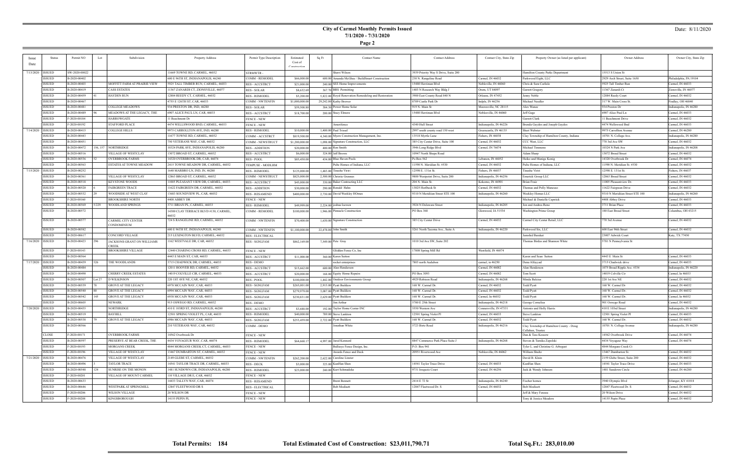**Page 2**

### Date: 8/11/2020

| Issue              | Status             | Permit NO           | Lot    | Subdivision                                    | Property Address                      | Permit Type Description | Estimated      | Sq Ft | <b>Contact Name</b>                                  | <b>Contact Address</b>               | Contact City, State Zip | Property Owner (as listed per applicant)                     | Owner Address                   | Owner City, State Zip  |
|--------------------|--------------------|---------------------|--------|------------------------------------------------|---------------------------------------|-------------------------|----------------|-------|------------------------------------------------------|--------------------------------------|-------------------------|--------------------------------------------------------------|---------------------------------|------------------------|
| Date               |                    |                     |        |                                                |                                       |                         | Cost of        |       |                                                      |                                      |                         |                                                              |                                 |                        |
|                    |                    |                     |        |                                                |                                       |                         |                |       |                                                      |                                      |                         |                                                              |                                 |                        |
|                    | 7/13/2020   ISSUED | SW-2020-00022       |        |                                                | 1669 TOWNE RD, CARMEL, 46032          | STRMWTR -               |                |       | Sherri Wilson                                        | 3939 Priority Way S Drive, Suite 200 |                         | Hamilton County Parks Department                             | 15513 S Union St                |                        |
|                    | <b>ISSUED</b>      | B-2020-00402        |        |                                                | 600 E 96TH ST, INDIANAPOLIS, 46240    | COMM - REMODEL          | \$66,000.00    |       | 600.00 Amanda McGhee / BuildSmart Construction       | 230 N. Rangeline Road                | Carmel, IN 46032        | Parkwood Eight, LLC                                          | 2929 Arch Street, Suite 1650    | Philadelphia, PA 19104 |
|                    | ISSUED             | B-2020-00403        |        | MOFFITT FARM AT PRAIRIE VIEW                   | 5925 TALL TIMBER RUN, CARMEL, 46033   | <b>RES - ACCSTRCT</b>   | \$21,000.00    |       | 240.00 SEE Home Improvements                         | 15480 Herriman Blvd                  | Nobleville, IN 46060    | Chris & Sara Carlisle                                        | 5925 Tall Timber Run            | Carmel, IN 46033       |
|                    | ISSUED             | B-2020-00419        |        | CASS ESTATES                                   | 11367 ZANARDI CT, ZIONSVILLE, 46077   | <b>RES - SOLAR</b>      | \$8,632.69     |       | 367.70 BRS Permitting                                | 1403 N Research Way Bldg J           | Orem, UT 84097          | Garrett Gregory                                              | 11367 Zanardi Ct                | Zionsville, IN 46077   |
|                    | ISSUED             | B-2020-00459        |        | HAYDEN RUN                                     | 12884 REEDY CT, CARMEL, 46032         | <b>RES - REMODEL</b>    | \$5,200.00     |       | 5,822.00 Royal Renovation Remodeling and Restoration | 3900 East County Road 840 N          | Orleans, IN 47452       | Jenny Noble                                                  | 12884 Reedy Court               | Carmel, IN 46032       |
|                    | <b>ISSUED</b>      | B-2020-00467        |        |                                                | 4755 E 126TH ST, CAR, 46033           | <b>COMM - NWTENFIN</b>  | \$1,000,000.00 |       | 29,242.00 Kathy Brewer                               | 8709 Castle Park Dr                  | Indpls, IN $46256$      | Michael Needler                                              | 317 W. Main Cross St.           | Findlay, OH 46840      |
|                    | ISSUED             | B-2020-00481        |        | COLLEGE MEADOWS                                | 934 PRESTON DR, IND, 46280            | RES - SOLAR             | \$59,508.80    |       | 384.30 Power Home Solar                              | 919 N. Main St                       | Mooresville, NC 28115   | Alex Wanee                                                   | 934 Preston Dr                  | Indianapolis, IN 46280 |
|                    | ISSUED             | B-2020-00489        |        | MEADOWS AT THE LEGACY, THE                     | 6907 ALICE PAUL LN, CAR, 46033        | <b>RES-ACCSTRCT</b>     | \$18,700.00    |       | 200.00 Stacy Elmore                                  | 15480 Herriman Blvd                  | Noblesville, IN 46060   | Jeff Gage                                                    | 6907 Alice Paul Ln              | Carmel, IN 46033       |
|                    | ISSUED             | F-2020-00184        |        | HARROWGATE                                     | 1 Beechmont Dr                        | <b>FENCE - NEW</b>      |                |       |                                                      |                                      |                         | Garrett Clark                                                | 11 Beechmont Drive              | Carmel, IN 46032       |
|                    | ISSUED             | F-2020-00192        |        | STAFFORD PLACE                                 | 4474 WELLSWOOD BND, CARMEL, 46033     | <b>FENCE - NEW</b>      |                |       | Amerifence                                           | 4340 Hull Street                     | Indianapolis, IN 46226  | Brenda Gaydos and Joseph Gaydos                              | 4474 Wellswood Bnd              | Carmel, IN 46033       |
|                    | 7/14/2020   ISSUED | B-2020-00415        |        | COLLEGE HILLS                                  | 9975 CARROLLTON AVE, IND, 46280       | <b>RES - REMODEL</b>    | \$10,000.00    |       | 1,400.00 Paul Trissel                                | 2997 south county road 150 west      | Greencastle, IN 46135   | Shari Webster                                                | 9975 Carrollton Avenue          | Carmel, IN 46280       |
|                    | ISSUED             | B-2020-00443        |        |                                                | 11677 TOWNE RD, CARMEL, 46032         | COMM - ACCSTRCT         | \$819,500.00   |       | 4,340.00 Myers Construction Management, Inc.         | 3518 Myrtle Lane                     | Fishers, IN 46038       | Clay Township of Hamilton County, Indiana                    | 10701 N. College Ave.           | Indianapolis, IN 46280 |
|                    | ISSUED             | B-2020-00451        |        |                                                | 750 VETERANS WAY, CAR, 46032          | COMM - NEWSTRUCT        | \$1,200,000.00 |       | 1,098.00 Signature Construction, LLC                 | 385 City Center Drive, Suite 100     | Carmel, IN 46032        | CCC West, LLC                                                | 770 3rd Ave SW                  | Carmel, IN 46032       |
|                    | ISSUED             | B-2020-00472        |        | 156, 157   NORTHRIDGE                          | 10324 PARK AVE, INDIANAPOLIS, 46280   | <b>RES - ADDITION</b>   | \$20,000.00    |       | $400.00$ Ron Smith                                   | 3946 Long Ridge Blvd                 | Carmel, IN 76074        | Michael Timmons                                              | 10324 N Park Ave                | Indianapolis, IN 46208 |
|                    | ISSUED             | B-2020-00516        |        | VILLAGE OF WESTCLAY                            | 13072 BROAD ST, CARMEL, 46032         | RES - ACCSTRCT          | \$6,000.00     |       | 324.00 Jeff Brown                                    | 10947 North Shupe Road               |                         | Adam Sharp                                                   | 13072 Broad Street              | Carmel, IN 46032       |
|                    | <b>ISSUED</b>      | B-2020-00536        |        | OVERBROOK FARMS                                | 14320 OVERBROOK DR, CAR, 46074        | <b>RES - POOL</b>       | \$85,450.00    |       | 434.00 Blue Haven Pools                              | Po Box 562                           | Lebanon, IN 46052       | Heiko and Manige Konig                                       | 14320 Overbrook Dr              | Carmel, IN 46074       |
|                    | <b>ISSUED</b>      | B-2020-00563        |        | ESTATES AT TOWNE MEADOW                        | 2415 TOWNE MEADOW DR, CARMEL, 46032   | TEMPUSE - MODLHM        |                |       | Pulte Homes of Indiana, LLC                          | 11590 N. Meridian St. #530           | Carmel, IN 46032        | Pulte Homes of Indiana, LLC                                  | 11590 N. Meridian St. #530      | Carmel, IN 46032       |
| 7/15/2020   ISSUED |                    | B-2020-00252        |        |                                                | 1640 MARBRO LN, IND, IN, 46280        | <b>RES - REMODEL</b>    | \$125,000.00   |       | 1,483.00 Tinashe Viriri                              | 12598 E. 131st St.                   | Fishers, IN 46037       | 'inashe Viriri                                               | 12598 E. 131st St.              | Fishers, IN 46037      |
|                    | ISSUED             | B-2020-00361        |        | <b>VILLAGE OF WESTCLAY</b>                     | 12863 BROAD ST, CARMEL, 46032         | COMM - NEWSTRUCT        | \$825,000.00   |       | 2,500.00 Christie Grennes                            | 9800 Westpoint Drive, Suite 200      | Indianapolis, IN 46256  | Emerick Group LLC                                            | 12863 Broad Street              | Carmel, IN 46032       |
|                    | ISSUED             | B-2020-00518        |        | KEYSTONE WOODS                                 | 1005 PLEASANT VIEW DR, CARMEL, 46033  | RES - ACCSTRCT          | \$45,000.00    |       | 330.00 Baker Contracting LLC                         | 204 N. Main St.                      | Kokomo, IN 46901        | Brian Fraiz                                                  | 11005 Pleasantview Dr.          | Carmel, IN 46033       |
|                    | <b>ISSUED</b>      | B-2020-00520        |        | <b>FAIRGREEN TRACE</b>                         | 11622 FAIRGREEN DR, CARMEL, 46032     | <b>RES - ADDITION</b>   | \$30,000.00    |       | 290.00 Ronald Hahn                                   | 13025 Horlbeck St                    | Carmel, IN 46032        | Thomas and Polly Mancuso                                     | 11622 Fairgreen Drive           | Carmel, IN 46032       |
|                    | ISSUED             | B-2020-00532        |        | WOODSIDE AT WEST CLAY                          | 13683 SOUNDVIEW PL, CAR, 46032        | <b>RES - RESAMEND</b>   | \$400,000.00   |       | 2.730.00 David Weekley HOmes                         | 9310 N Meridiian Street STE 100      | Indianapolis, IN 46260  | Weekley Homes LLC                                            | 9310 N Meridiian Street STE 100 | Indianapolis, IN 46260 |
|                    | ISSUED             | F-2020-00160        |        | BROOKSHIRE NORTH                               | 4408 ABBEY DR                         | <b>FENCE - NEW</b>      |                |       |                                                      |                                      |                         | Michael & Danielle Capstick                                  | 4408 Abbey Drive                | Carmel, IN 46033       |
|                    | ISSUED             | B-2020-00569        | 5/229  | <b>WOODLAND SPRINGS</b>                        | 3711 BRIAN PL, CARMEL, 46033          | <b>RES - REMODEL</b>    | \$49,999.00    |       | $2,224.00$ joshua loewen                             | 3924 N Delaware Stree                | Indianapolis, IN 46205  | Jon and Andrea Renc                                          | 3711 Brian Place                | Carmel, IN 46033       |
|                    | ISSUED             | B-2020-00572        |        |                                                | 14300 CLAY TERRACE BLVD #130, CARMEL, | COMM - REMODEL          | \$100,000.00   |       | 1,946.00 Pinnacle Construction                       | PO Box 368                           | Glenwood, IA 51534      | Washington Prime Group                                       | 180 East Broad Street           | Columbus, OH 43215     |
|                    | ISSUED             | B-2020-00577        |        | CARMEL CITY CENTER<br>CONDOMINIUM              | 724 S RANGELINE RD, CARMEL, 46032     | <b>COMM - NWTENFIN</b>  | \$70,400.00    |       | 1,630.00 Signature Construction                      | 385 City Center Drive                | Carmel, IN 46032        | Carmel City Center Retail, LLC                               | 770 3rd Avenue                  | Carmel, IN 46032       |
|                    | ISSUED             | B-2020-00582        |        |                                                | 600 E 96TH ST, INDIANAPOLIS, 46240    | <b>COMM - NWTENFIN</b>  | \$1,100,000.00 |       | 22,478.00 John Smith                                 | 5261 North Tacoma Ave., Suite A      | Indianapolis, IN 46220  | Parkwood Six, LLC                                            | 600 East 96th Street            | Carmel, IN 46032       |
|                    | ISSUED             | B-2020-00617        |        | CONCORD VILLAGE                                | 215 LEXINGTON BLVD, CARMEL, 46032     | <b>RES - ELECTRICAL</b> |                |       |                                                      |                                      |                         | Jamshid Barakat                                              | 23007 Adwick Court              | Katy, TX 77450         |
| 7/16/2020   ISSUED |                    | B-2020-00423        |        | IACKSONS GRANT ON WILLIAMS<br>$\mathbb C$ reek | 1162 WESTVALE DR, CAR, 46032          | <b>RES - SGNLFAM</b>    | \$862,169.00   |       | 7,549.00 Pete Gray                                   | 1010 3rd Ave SW, Suite 202           |                         | Thomas Birdas and Shannon White                              | 5781 N Pennsylvania St          |                        |
|                    | ISSUED             | F-2020-00143        |        | BROOKSHIRE VILLAGE                             | 12440 CHARING CROSS RD, CARMEL, 46033 | <b>FENCE - NEW</b>      |                |       | Glidden Fence Co, Inc                                | 17808 Spring Mill Rd                 | Westfield, IN 46074     |                                                              |                                 |                        |
|                    | <b>ISSUED</b>      | B-2020-00564        |        |                                                | 4443 E MAIN ST, CAR, 46033            | RES - ACCSTRCT          | \$11,000.00    |       | 360.00 Karen Sutton                                  |                                      |                         | Karen and Sean Sutton                                        | 4443 E Main St                  | Carmel, IN 46033       |
| 7/17/2020   ISSUED |                    | B-2020-00439        |        | THE WOODLANDS                                  | 3715 CHADWICK DR, CARMEL, 46033       | RES - DEMO              |                |       | rocket enterprises                                   | 7803 north Audubon                   | carmel, in 46250        | Dena Alfayyad                                                | 3715 Chadwick drive             | Carmel, IN 46033       |
|                    | ISSUED             | B-2020-00484        |        |                                                | 12011 HOOVER RD, CARMEL, 46032        | <b>RES-ACCSTRCT</b>     | \$15,662.00    |       | 600.00 Alan Henderson                                |                                      | Carmel, IN 46082        | Alan Henderson                                               | 1075 Broad Ripple Ave. #334     | Indianapolis, IN 46220 |
|                    | ISSUED             | B-2020-00490        |        | <b>CHERRY CREEK ESTATES</b>                    | 14019 COLVILLE CIR, CARMEL, 46033     | <b>RES - ACCSTRCT</b>   | \$20,000.00    |       | 168.00 Equity Home Repairs                           | PO Box 3093                          | Carmel, IN 46082        | Tom Scott                                                    | 14019 Colville Cir              | Carmel, In 46033       |
|                    | ISSUED             | B-2020-00507        | Lot 27 | D WILKINSON                                    | 220 IST AVE NE, CAR, 46032            | RES - POOL              | \$100,000.00   |       | 1,442.00 Outdoor Environments Group                  | 4929 Robison Road                    | Indianapolis, IN 46268  | Minda Balcius                                                | 220 1st Ave NE                  | Carmel, IN 46032       |
|                    | <b>ISSUED</b>      | B-2020-00539        |        | GROVE AT THE LEGACY                            | 6978 MCCAIN WAY, CAR, 46033           | <b>RES - SGNLFAM</b>    | \$265,001.00   |       | 2,915.00 Pyatt Builders                              | 168 W. Carmel Dr.                    | Carmel, IN 46032        | Todd Pyatt                                                   | 168 W. Carmel Dr                | Carmel, IN 46032       |
|                    | ISSUED             | B-2020-00540        |        | GROVE AT THE LEGACY                            | 6994 MCCAIN WAY, CAR, 46033           | <b>RES - SGNLFAM</b>    | \$279,979.00   |       | 3,087.00 Pyatt Builders                              | 168 W. Carmel Dr.                    | Carmel, IN 46032        | Fodd Pyatt                                                   | 168 W. Carmel Dr.               | Carmel, IN 46032       |
|                    | ISSUED             | B-2020-00542        | 145    | GROVE AT THE LEGACY                            | 6938 MCCAIN WAY, CAR, 46033           | <b>RES - SGNLFAM</b>    | \$230,831.00   |       | 2,629.00 Pyatt Builders                              | 168 W. Carmel Dr.                    | Carmel, In 46032        | <b>Fodd Pyatt</b>                                            | 168 W. Carmel Dr.               | Carmel, In 46032       |
|                    | ISSUED             | B-2020-00605        |        | NEWARK                                         | 915 OSWEGO RD, CARMEL, 46032          | RES - DEMO              |                |       | Jim Arthur                                           | 5780 E 25th Street                   | Indianapolis, IN 46218  | ieorge Cornelius                                             | 901 Oswego Road                 | Carmel, IN 46032       |
|                    | 7/20/2020   ISSUED | B-2020-00435        |        | NORTHRIDGE                                     | 410 E 103RD ST, INDIANAPOLIS, 46280   | <b>RES - ACCSTRCT</b>   | \$3,688.00     |       | 192.00 Taylor Home Center INC                        | 550 Western Ave                      | Connersville, IN 47331  | Antonio and Holly Harris                                     | 410 E 103rd Street              | Indianapolis, IN 46280 |
|                    | <b>ISSUED</b>      | B-2020-00519        |        | BAYHILL                                        | 12501 SPRING VIOLET PL, CAR, 46033    | <b>RES - REMODEL</b>    | \$40,000.00    |       | 789.00 Steve Lankton                                 | 12501 Spring Violet Pl               | Carmel, IN 46033        | Steve Lankton                                                | 12501 Spring Violet Pl          | Carmel, IN 46033       |
|                    | ISSUED             | B-2020-00538        |        | GROVE AT THE LEGACY                            | 6986 MCCAIN WAY, CAR, 46033           | RES - SGNLFAM           | \$253,459.00   |       | 2,722.00 Pyatt Builders                              | 168 W. Carmel Dr.                    | Carmel, IN 46032        | Todd Pyatt                                                   | 168 W. Carmel Dr.               | Carmel, IN 46032       |
|                    | <b>ISSUED</b>      | B-2020-00566        |        |                                                | 210 VETERANS WAY, CAR, 46032          | COMM - DEMO             |                |       | Jonathan White                                       | 5723 Birtz Road                      | Indianapolis, IN 46216  | Clay Township of Hamilton County - Doug<br>Callahan, Trustee | 10701 N. College Avenue         | Indianapolis, IN 46280 |
|                    | CLOSE              | F-2020-00171        |        | <b>OVERBROOK FARMS</b>                         | 14562 Overbrook Dr                    | <b>FENCE - NEW</b>      |                |       |                                                      |                                      |                         | Dan & Tess Kossow                                            | 14562 Overbrook Drive           | Carmel, IN 46074       |
|                    | ISSUED             | B-2020-00597        |        | PRESERVE AT BEAR CREEK, THE                    | 4434 VOYAGEUR WAY, CAR, 46074         | <b>RES - REMODEL</b>    | \$64,668.17    |       | 4,997.00 Jared Kennard                               | 8847 Commerce Park Place Suite J     | Indianapolis, IN 46268  | Steven & Tamika Zapolski                                     | 4434 Voyageur Way               | Carmel, IN 46074       |
|                    | ISSUED             | F-2020-00193        |        | MORGANS CREEK                                  | 4844 MORGANS CREEK CT, CARMEL, 46033  | <b>FENCE - NEW</b>      |                |       | Bullseye Fence Design, Inc.                          | P.O. Box 941                         |                         | Tyler L. and Christine G. Arbogast                           | 4844 Morgans Creek Ct           |                        |
|                    | ISSUED             | F-2020-00196        |        | VILLAGE OF WESTCLAY                            | 3467 DUMBARTON ST, CARMEL, 46032      | FENCE - NEW             |                |       | Awards Fence and Deck                                | 20951 Riverwood Ave                  | Noblesville, IN 46062   | William Shultz                                               | 13467 Dumbarton St.             | Carmel, IN 46032       |
| 7/21/2020 ISSUED   |                    | B-2020-00476        |        | VILLAGE OF WESTCLAY                            | 2149 GLEBE ST, CARMEL, 46032          | COMM - NWTENFIN         | \$262,200.00   |       | 2,622.00 Caroline Linster                            |                                      |                         | David B. Klain                                               | 2159 Glebe Street, Suite 200    | Carmel, IN 46032       |
|                    | <b>ISSUED</b>      | B-2020-00496        |        | TAYLOR TRACE                                   | 14541 TAYLOR TRACE DR, CARMEL, 46033  | RES - DECK              | \$3,000.00     |       | 325.00 KunHan Shen                                   | 14541 Taylor Trace Drive             | Carmel, IN 46033        | KunHan Shen                                                  | 14541 Taylor Trace Drive        | Carmel, IN 46033       |
|                    | ISSUED             | B-2020-00548<br>124 |        | SUNRISE ON THE MONON                           | 1481 SUNDOWN CIR, INDIANAPOLIS, 46280 | <b>RES - REMODEL</b>    | \$23,000.00    |       | 240.00 Kurt Schmadeke                                | 9731 Iroquois Court                  | Carmel, IN 46256        | Jack & Wendy Johnson                                         | 1481 Sundown Circle             | Carmel, IN 46280       |
|                    | ISSUED             | F-2020-00201        |        | VILLAGE OF MOUNT CARMEL                        | 110 VILLAGE DR E, CAR, 46032          | FENCE - NEW             |                |       |                                                      |                                      |                         |                                                              |                                 |                        |
|                    | ISSUED             | B-2020-00633        |        |                                                | 14433 TALLYN WAY, CAR, 46074          | <b>RES - RESAMEND</b>   |                |       | <b>Brent Bennett</b>                                 | 2414 E 72 St                         | Indianapolis, IN 46240  | Fischer homes                                                | 3940 Olympic Blvd               | Erlanger, KY 41018     |
|                    | <b>ISSUED</b>      | B-2020-00646        |        | WESTPARK AT SPRINGMILL                         | 12847 FLEETWOOD DR S                  | <b>RES - ELECTRICAL</b> |                |       | <b>Bob Modisett</b>                                  | 12847 Fleetwood Dr. S                | Carmel, IN 46032        | Bob Modisett                                                 | 12847 Fleetwood Dr. S           | Carmel, IN 46032       |
|                    | <b>ISSUED</b>      | F-2020-00206        |        | WILSON VILLAGE                                 | 20 WILSON DR                          | <b>FENCE - NEW</b>      |                |       |                                                      |                                      |                         | Jeff & Mary Fenzau                                           | 20 Wilson Drive                 | Carmel, IN 46032       |
|                    | ISSUED             | F-2020-00208        |        | KINGSBOROUGH                                   | 14155 PEPIN PL                        | FENCE - NEW             |                |       |                                                      |                                      |                         | Tony & Jessica Meadors                                       | 14155 Pepin Place               | Carmel, IN 46032       |
|                    |                    |                     |        |                                                |                                       |                         |                |       |                                                      |                                      |                         |                                                              |                                 |                        |

÷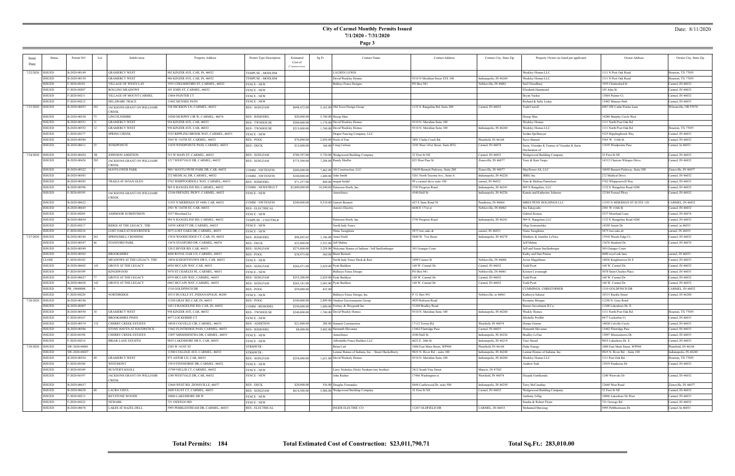**Page 3**

### Date: 8/11/2020

| Issue              | Status        | Permit NO     | Lot | Subdivision                 | Property Address                       | Permit Type Description | Estimated      | Sq Ft  | Contact Name                                           | <b>Contact Address</b>            | Contact City, State Zip | Property Owner (as listed per applicant)      | Owner Address                    | Owner City, State Zip  |
|--------------------|---------------|---------------|-----|-----------------------------|----------------------------------------|-------------------------|----------------|--------|--------------------------------------------------------|-----------------------------------|-------------------------|-----------------------------------------------|----------------------------------|------------------------|
| Date               |               |               |     |                             |                                        |                         | Cost of        |        |                                                        |                                   |                         |                                               |                                  |                        |
|                    |               |               |     |                             |                                        |                         |                |        |                                                        |                                   |                         |                                               |                                  |                        |
| 7/22/2020   ISSUED |               | B-2020-00149  |     | GRAMERCY WEST               | 982 KINZER AVE, CAR, IN, 46032         | TEMPUSE - MODLHM        |                |        | LAUREN LEWIS                                           |                                   |                         | Weekley Homes LLC                             | 1111 N Post Oak Road             | Houston, TX 77055      |
|                    | ISSUED        | B-2020-00150  |     | GRAMERCY WEST               | 986 KINZER AVE, CAR, IN, 46032         | TEMPUSE - MODLHM        |                |        | David Weekley Homes                                    | 9310 N Meridian Street STE 100    | Indianapolis, IN 46260  | Weekley Homes LLC                             | 1111 N Post Oak Road             | Houston, TX 77055      |
|                    | <b>ISSUED</b> | F-2020-00181  |     | <b>VILLAGE OF WESTCLAY</b>  | 1955 CHELMSFORD ST, CARMEL, 46032      | <b>FENCE - NEW</b>      |                |        | <b>Bulleye Fence Designs</b>                           | PO Box 941                        | Noblesville, IN 46061   | Saif Choudhury                                | 1955 Chelmsford St               | Carmel, IN 46032       |
|                    | ISSUED        | F-2020-00207  |     | <b>ROLLING MEADOWS</b>      | 105 JOHN ST, CARMEL, 46032             | <b>FENCE - NEW</b>      |                |        |                                                        |                                   |                         | Elizabeth Hammond                             | 105 John St                      | Carmel, IN 46032       |
|                    | <b>ISSUED</b> | F-2020-00211  |     | VILLAGE OF MOUNT CARMEL     | 13864 PAINTER CT                       | <b>FENCE - NEW</b>      |                |        |                                                        |                                   |                         | Bryan Vackar                                  | 13864 Painter Ct.                | Carmel, IN 46032       |
|                    | ISSUED        | F-2020-00212  |     | DELAWARE TRACE              | <b>13402 MUNSEE PATH</b>               | <b>FENCE - NEW</b>      |                |        |                                                        |                                   |                         | Richard & Sally Lyday                         | 13402 Munsee Path                | Carmel, IN 46033       |
| 7/23/2020 ISSUED   |               | B-2020-00433  |     | JACKSONS GRANT ON WILLIAMS  | 528 DICKSON LN, CARMEL, 46032          | <b>RES - SGNLFAM</b>    | \$698,472.00   |        | 5,162.00 Old Town Design Group                         | 1132 S. Rangeline Rd, Suite 200   | Carmel, IN 46032        | Todd Carroll                                  | 6987 SW Cedar Pointe Lane        | Wilsonville, OR 97070  |
|                    |               |               |     | CREEK                       |                                        |                         |                |        |                                                        |                                   |                         |                                               |                                  |                        |
|                    | ISSUED        | B-2020-00530  |     | LINCOLNSHIRE                | 14280 MURPHY CIR W, CARMEL, 46074      | <b>RES - REMODEL</b>    | \$20,000.0     |        | 5,740.00 Hosop Shin                                    |                                   |                         | Hosop Shin                                    | 14280 Murphy Circle West         |                        |
|                    | ISSUED        | B-2020-00551  |     | GRAMERCY WEST               | 954 KINZER AVE, CAR, 46032             | <b>RES - TWNHOUSE</b>   | \$200,000.00   |        | 1,178.00 David Weekley Homes                           | 9310 N. Meridian Suite 100        |                         | Weekley Homes                                 | 1111 North Post Oak Rd           |                        |
|                    | ISSUED        | B-2020-00552  |     | <b>GRAMERCY WEST</b>        | 950 KINZER AVE, CAR, 46032             | <b>RES - TWNHOUSE</b>   | \$215,000.00   |        | 1,740.00 David Weekley Homes                           | 9310 N. Meridian Suite 100        | Indianapolis, IN 46260  | Weekley Homes LLC                             | 1111 North Post Oak Rd           | Houston, TX 77055      |
|                    | ISSUED        | F-2020-00177  |     | SPRING CREEK                | 5325 RIPPLING BROOK WAY, CARMEL, 46033 | <b>FENCE - NEW</b>      |                |        | Draper Fencing Company, LLC                            |                                   |                         | Jordan Spellmeyer                             | 5325 Ripplingbrook Way           | Carmel, IN 46033       |
|                    | ISSUED        | B-2020-00584  |     |                             | 3565 W 116TH ST, CARMEL, 46032         | <b>RES - POOL</b>       | \$76,000.00    |        | 2,030.00 Pools of Fun                                  | 3891 Clarks Creek Rd.             | Plainfield, IN 46168    | Steve Barnett                                 | 3565 W. 116th St.                | Carmel, IN 46032       |
|                    | ISSUED        | B-2020-00611  |     | WINDPOINTE                  | 11839 WINDPOINTE PASS, CARMEL, 46033   | RES - DECK              | \$12,000.00    |        | 168.00 Craig Carlson                                   | 2345 West 141st Street, Suite BYL | Carmel, IN 46074        | Sarin, Virender K Trustee of Virender K Sarin | 11839 Windpointe Pass            | Carmel, In 46033       |
|                    |               |               |     |                             |                                        |                         |                |        |                                                        |                                   |                         | <b>Declaration</b> of                         |                                  |                        |
| 7/24/2020   ISSUED |               | B-2020-00424  |     | JOHNSON ADDITION            | 515 W MAIN ST, CARMEL, 46032           | <b>RES - SGNLFAM</b>    | \$780,397.00   |        | 5,730.00 Wedgewood Building Company                    | 32 First St NE                    | Carmel, IN 46032        | Wedgewood Building Company                    | 32 First St NE                   | Carmel, IN 46032       |
|                    | ISSUED        | B-2020-00426  | 285 | JACKSONS GRANT ON WILLIAMS  | 1217 WESTVALE DR, CARMEL, 46032        | RES - SGNLFAM           | \$775,500.00   |        | 7,298.00 Randy Shaffer                                 | 825 West Pine St                  | Zionsville, IN 46077    | Tony & Kate Vespa                             | 14312 Chariots Whisper Drive     | Carmel, IN 46032       |
|                    |               |               |     | CREEK                       |                                        |                         |                |        |                                                        |                                   |                         |                                               |                                  |                        |
|                    | ISSUED        | B-2020-00522  |     | <b>MAYFLOWER PARK</b>       | 9801 MAYFLOWER PARK DR, CAR, 46032     | COMM - NWTENFIN         | \$200,000.00   |        | 7,462.00 Alt Construction, LLC                         | 10650 Bennett Parkway, Suite 200  | Zionsville, IN 46077    | Mayflower Alt, LLC                            | 10650 Bennett Parkway, Suite 200 | Zionsville, IN 46077   |
|                    | ISSUED        | B-2020-00583  |     |                             | 272 MEDICAL DR, CARMEL, 46032          | <b>COMM - NWTENFIN</b>  | \$100,000.00   |        | 1,600.00 John Smith                                    | 5261 North Tacoma Ave., Suite A   | Indianapolis, IN 46220  | JRRG Inc.                                     | 272 Medical Drive                | Carmel, IN 46032       |
|                    | <b>ISSUED</b> | B-2020-00585  |     | <b>TRAILS AT AVIAN GLEN</b> | 5762 WHIPPOORWILL WAY, CARMEL, 46033   | <b>RES - REMODEL</b>    | \$71,257.0     |        | 800.00 megan heidel                                    | 99 e carmel drive suite 100       | carmel, IN 46032        | Nate & Melissa Danielson                      | 5762 Whippoorwill Way            | Carmel, IN 46033       |
|                    | ISSUED        | B-2020-00596  |     |                             | 985 N RANGELINE RD, CARMEL, 46032      | COMM - NEWSTRUCT        | \$2,800,000.00 |        | 10,240.00 Patterson Horth, Inc.                        | 5745 Progress Road                | Indianapolis, IN 46241  | 969 N Rangeline, LLC                          | 1132 S. Rangeline Road #200      | Carmel, IN 46032       |
|                    | <b>ISSUED</b> | F-2020-00195  |     | JACKSONS GRANT ON WILLIAMS  | 12184 FRENZEL PKWY, CARMEL, 46032      | <b>FENCE - NEW</b>      |                |        | Amerifence                                             | 4340 Hull St                      | Indianapolis, IN 46226  | Kamin and Katherine Johnson                   | 12184 Frenzel Pkwy               | Carmel, IN 46032       |
|                    | ISSUED        | B-2020-00622  |     | <b>CREEK</b>                | 11555 N MERIDIAN ST #400, CAR, 46032   |                         |                |        |                                                        | 423 E State Road 38               | Pendleton, IN 46064     | MRES PENN HOLDINGS LLC                        | 11555 N MERIDIAN ST SUITE 120    | CARMEL, IN 46032       |
|                    |               |               |     |                             |                                        | <b>COMM - NWTENFIN</b>  | \$240,000.00   |        | 9,310.00 Garrett Bennett                               |                                   |                         |                                               |                                  |                        |
|                    | ISSUED        | B-2020-00645  |     |                             | 2501 W 116TH ST, CAR, 46032            | <b>RES - ELECTRICAL</b> |                |        | Aaron's Electric                                       | 6648 E 171st st                   | Noblesville, IN 46062   | Stu Takayoshi                                 | 2501 W 116th St                  | Carmel, IN 46032       |
|                    | <b>ISSUED</b> | F-2020-00205  |     | <b>ASHMOOR SUBDIVISION</b>  | 3537 Moorland Ln                       | <b>FENCE - NEW</b>      |                |        |                                                        |                                   |                         | Gabriel Krause                                | 3537 Moorland Lane               | Carmel, IN 46074       |
|                    | ISSUED        | B-2020-00654  |     |                             | 985 N RANGELINE RD, CARMEL, 46032      | TEMPUSE - CNSTTRLR      |                |        | Patterson Horth, Inc.                                  | 5745 Progress Road                | Indianapolis, IN 46241  | 969 N. Rangeline LLC                          | 1132 S. Rangeline Road #200      | Carmel, IN 46032       |
|                    | <b>ISSUED</b> | F-2020-00217  |     | RIDGE AT THE LEGACY, THE    | 14550 ARNETT DR, CARMEL, 46033         | <b>FENCE - NEW</b>      |                |        | North Indy Fence                                       |                                   |                         | Oleg Gostomelsky                              | 14550 Arnett Dr                  | Carmel, in 46033       |
|                    | ISSUED        | F-2020-00218  |     | LOST OAKS AT HAVERSTICK     | 5875 LOST OAKS DR, CARMEL, 46033       | <b>FENCE - NEW</b>      |                |        | Nima Taraghinia                                        | 5875 lost oaks dr                 | carmel, IN 46033        | Nima Taraghinia                               | 5875 lost oaks dr                | carmel, IN 46033       |
| 7/27/2020   ISSUED |               | B-2020-00184  |     | SPRINGMILL CROSSING         | 13918 WOODS EDGE CT, CAR, IN, 46032    | <b>RES - REMODEL</b>    | \$98,892.05    |        | 1,196.00 Anna Nield                                    | 5840 W. 71st Street               | Indianapolis, IN 46278  | Matthew & Jennifer LeVora                     | 13918 Woods Edge Ct.             | Carmel, IN 46032       |
|                    | ISSUED        | B-2020-00547  |     | <b>STANFORD PARK</b>        | 13676 STANFORD DR, CARMEL, 46074       | <b>RES - DECK</b>       | \$22,000.00    |        | 3,553.00 Jeff Mehne                                    |                                   |                         | Jeff Mehne                                    | 13676 Stanford Dr.               | Carmel, IN 46074       |
|                    | ISSUED        | B-2020-00549  |     |                             | 12012 RIVER RD, CAR, 46033             | <b>RES - SGNLFAM</b>    | \$275,000.00   |        | 3,258.00 Welcome Homes of Indiana / Jeff Snellenberger | 305 Granger Court                 |                         | Jeff and Susan Snellenberger                  | 305 Granger Court                |                        |
|                    | ISSUED        | B-2020-00565  |     | <b>BROOKSHIRE</b>           | 4600 ROYAL OAK LN, CARMEL, 46033       | <b>RES - POOL</b>       | \$38,975.00    |        | 560.00 Brent Bennett                                   |                                   |                         | Kathy and Dan Patane                          | 4600 royal oak lane              | carmel, IN 46033       |
|                    | <b>CLOSE</b>  | F-2020-00182  |     | MEADOWS AT THE LEGACY, THE  | 14036 KNIGHTSTOWN DR E, CAR, 46033     | <b>FENCE - NEW</b>      |                |        | North Indy Fence Deck & Rail                           | 3499 Conner St                    | Noblesville, IN 46060   | Javier Magallanes                             | 14036 Knightstown Dr E           | Carmel, IN 46033       |
|                    | ISSUED        | B-2020-00602  |     | GROVE AT THE LEGACY         | 6954 MCCAIN WAY, CAR, 46033            | <b>RES - SGNLFAM</b>    | \$266,471.00   |        | 2,629.00 Pyatt Builders                                | 168 W. Carmel Dr.                 | Carmel, IN 46032        | Fodd Pyatt                                    | 168 W. Carmel Dr.                | Carmel, IN 46032       |
|                    | <b>ISSUED</b> | F-2020-00199  |     | KINGSWOOD                   | 5078 ST CHARLES PL, CARMEL, 46033      | <b>FENCE - NEW</b>      |                |        | <b>Bullseye Fence Design</b>                           | PO Box 941                        | Noblesville, IN 46061   | Kristen Cavanaugh                             | 5078 Saint Charles Place         | Carmel, IN 46033       |
|                    | ISSUED        | B-2020-00627  |     | GROVE AT THE LEGACY         | 6970 MCCAIN WAY, CARMEL, 46033         | RES - SGNLFAM           | \$253,208.00   |        | 2,629.00 Pyatt Builders                                | 168 W. Carmel Dr.                 | Carmel, IN 46032        | Todd Pyatt                                    | 168 W. Carmel Dr.                | Carmel, IN 46032       |
|                    | ISSUED        | B-2020-00628  | 142 | <b>GROVE AT THE LEGACY</b>  | 6962 MCCAIN WAY, CARMEL, 46033         | <b>RES - SGNLFAM</b>    | \$265,181.00   |        | 3,045.00 Pyatt Builders                                | 168 W. Carmel Dr.                 | Carmel, IN 46032        | Todd Pyatt                                    | 168 W. Carmel Dr.                | Carmel, IN 46032       |
|                    | ISSUED        | PB 19040008   |     |                             | 1310 GOLDFINCH DR                      | <b>RES - POOL</b>       | \$59,000.00    | 432.00 |                                                        |                                   |                         | CUMMINGS, CHRISTOPHER                         | 1310 GOLDFINCH DR                | CARMEL, IN 46032       |
|                    | ISSUED        | F-2020-00220  |     | NORTHRIDGE                  | 10315 RUCKLE ST, INDIANAPOLIS, 46280   | <b>FENCE - NEW</b>      |                |        | Bullseye Fence Design, Inc.                            | P. O. Box 941                     | Noblesville, in 46061   | Katheryn Salazar                              | 10315 Ruckle Street              | Carmel, IN 46280       |
| 7/28/2020   ISSUED |               | B-2020-00196  |     |                             | 11250 GRAY RD, CAR, IN, 46033          | RES - POOL              | \$100,000.0    |        | 2,899.00 Outdoor Environments Group                    | 4929 Robison Road                 |                         | Roxanne Morgan                                | 11250 N. Gray Road               |                        |
|                    | ISSUED        | B-2020-00407  |     |                             | 1421 S RANGELINE RD, CAR, IN, 46032    | COMM - REMODEL          | \$250,000.00   |        | 1,000.00 Fortney & Weygandt Inc                        | 1269 Bradley Road                 |                         | Barnes Investment II Co.                      | 11308 Lakeshore Dr. E            |                        |
|                    | ISSUED        | B-2020-00550  |     | <b>GRAMERCY WEST</b>        | 958 KINZER AVE, CAR, 46032             | <b>RES - TWNHOUSE</b>   | \$240,000.00   |        | 1,740.00 David Weekly Homes                            | 9310 N. Meridian Suite 100        | Indianapolis, IN 46260  | Weekly Homes                                  | 1111 North Post Oak Rd           | Houston, TX 77055      |
|                    | ISSUED        | F-2020-00167  |     | BROOKSHIRE PINES            | 4477 LOCKERBIE CT                      | <b>FENCE - NEW</b>      |                |        |                                                        |                                   |                         | Michelle Proffitt                             | 4477 Lockerbie Ct                | Carmel, IN 46033       |
|                    | <b>ISSUED</b> | B-2020-00574  | 132 | CHERRY CREEK ESTATES        | 14038 COLVILLE CIR, CARMEL, 46033      | <b>RES - ADDITION</b>   | \$21,000.00    |        | 288.00 Summit Construction                             | 17112 Towne Rd                    | Westfield, IN 46074     | Donna Grimm                                   | 14038 Colville Circle            | Carmel, IN 46033       |
|                    | <b>ISSUED</b> | B-2020-00586  |     | STONE HAVEN AT HAVERSTICK   | 13462 FLINTRIDGE PASS, CARMEL, 46033   | <b>RES - REMODEL</b>    | \$8,000.00     |        | 3,402.00 Hemanth Shivanna                              | 13462 Flintridge Pass             | Carmel, IN 46033        | Iemanth Shivanna                              | 13462 Flintridge Pass            | Carmel, IN 46033       |
|                    | <b>ISSUED</b> | F-2020-00198  |     | CHERRY CREEK ESTATES        | 13897 MISSISSINEWA DR, CARMEL, 46033   |                         |                |        | Amerifence                                             | 4340 Hull St.                     | Indianapolis, IN 46226  | Bradley LeVan                                 | 13897 Mississinewa Dr.           | Carmel, IN 46033       |
|                    |               |               |     |                             |                                        | <b>FENCE - NEW</b>      |                |        |                                                        |                                   |                         |                                               |                                  |                        |
|                    | <b>ISSUED</b> | F-2020-00214  |     | <b>BRIAR LANE ESTATES</b>   | 9855 LAKESHORE DR E, CAR, 46033        | <b>FENCE - NEW</b>      |                |        | Affordable Fence Builders LLC                          | 6023 E. 26th St.                  | Indianapolis, IN 46219  | Traci Sneed                                   | 9855 Lakeshore Dr. E.            | Carmel, IN 46033       |
| 7/29/2020 ISSUED   |               | SW-2020-00001 |     |                             | 2385 W 141ST ST                        | STRMWTR-                |                |        | Brian Catt                                             | 1000 East Main Street, WP944      | Plainfield, IN 46168    | Duke Energy                                   | 1000 East Main Street, WP944     | Plainfield, IN 46168   |
|                    | <b>ISSUED</b> | SW-2020-00027 |     |                             | 11580 COLLEGE AVE, CARMEL, 46032       | STRMWTR-                |                |        | Lennar Homes of Indiana, Inc. - Stuart Huckelberry     | 9025 N. River Rd. - suite 100     | Indianapolis, IN 46240  | Lennar Homes of Indiana, Inc.                 | 9025 N. River Rd. - Suite 100    | Indianapolis, IN 46240 |
|                    | <b>ISSUED</b> | B-2020-00554  |     | <b>GRAMERCY WEST</b>        | 975 ASTOR LN, CAR, 46032               | <b>RES - SGNLFAM</b>    | \$254,000.00   |        | 1,621.00 David Weekely Homes                           | 9310 N. Meridian Suite 100        | Indianapolis, IN 46260  | Weekley Homes LLC                             | 1111 Post Oak Rd.                | Houston, TX 77055      |
|                    | ISSUED        | F-2020-00188  |     | WESTMONT                    | 3919 FINNHORSE DR, CARMEL, 46032       | <b>FENCE - NEW</b>      |                |        |                                                        |                                   |                         | Andrew Saik                                   | 13919 Finnhorse Dr               | Carmel, IN 46032       |
|                    | ISSUED        | F-2020-00189  |     | HUNTER'S KNOLL              | 13709 NELLIS CT, CARMEL, 46032         | <b>FENCE - NEW</b>      |                |        | Larry Nicholas (Nick) Neukam (my brother)              | 2412 South Vine Street            | Muncie, IN 47302        |                                               |                                  |                        |
|                    | ISSUED        | F-2020-00197  |     | JACKSONS GRANT ON WILLIAMS  | 1240 WESTVALE DR, CAR, 46032           | <b>FENCE - NEW</b>      |                |        | John Rusher                                            | 17466 Washington st.              | Westfield, IN 46074     | Deepak Guttikonda                             | 1240 Westvale Dr                 | Carmel, IN 46032       |
|                    |               |               |     | CREEK                       |                                        |                         |                |        |                                                        |                                   |                         |                                               |                                  |                        |
|                    | <b>ISSUED</b> | B-2020-00637  |     |                             | 2660 WEST RD, ZIONSVILLE, 46077        | <b>RES - DECK</b>       | \$20,000.00    |        | 536.00 Douglas Fernandes                               | 3444 Castlewood Dr, suite 500     | Indianapolis, IN 46250  | Terry McConahay                               | 12660 West Road                  | Zionsville, IN 46077   |
|                    | <b>ISSUED</b> | B-2020-00638  |     | LAURA VISTA                 | 2608 FAUST CT, CARMEL, 46033           | <b>RES - SGNLFAM</b>    | \$614,500.00   |        | 5,986.00 Wedgewood Building Company                    | 32 First St NE                    | Carmel, IN 46032        | Wedgewood Building Company                    | 32 First St NE                   | Carmel, IN 46032       |
|                    | <b>ISSUED</b> | F-2020-00213  |     | <b>KEYSTONE WOODS</b>       | 0806 LAKESHORE DR W                    | <b>FENCE - NEW</b>      |                |        |                                                        |                                   |                         | Anthony Lillig                                | 10806 Lakeshore Dr West          | Carmel, IN 46033       |
|                    | <b>ISSUED</b> | F-2020-00222  |     | NEWARK                      | 721 OSWEGO RD                          | <b>FENCE - NEW</b>      |                |        |                                                        |                                   |                         | Sandra & Robert Flynn                         | 721 Oswego Rd                    | Carmel, IN 46032       |
|                    | ISSUED        | B-2020-00676  |     | LAKES AT HAZEL DELL         | 5995 PEBBLESTREAM DR, CARMEL, 46033    | <b>RES - ELECTRICAL</b> |                |        | INGER ELECTRIC CO                                      | 11267 OLDFIELD DR                 | CARMEL, IN 46033        | Mohamed Merzoug                               | 5995 Pebblestream Dr             | Carmel, In 46033       |